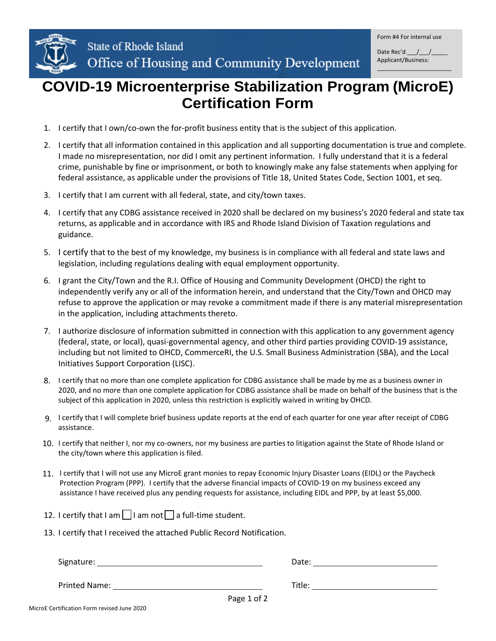

Form #4 For internal use

Date Rec'd  $\_\_\_\_\_\_\_\_\_\_\_\_\_$ Applicant/Business:

\_\_\_\_\_\_\_\_\_\_\_\_\_\_\_\_\_\_\_\_\_\_\_

## **COVID-19 Microenterprise Stabilization Program (MicroE) Certification Form**

- 1. I certify that I own/co-own the for-profit business entity that is the subject of this application.
- 2. I certify that all information contained in this application and all supporting documentation is true and complete. I made no misrepresentation, nor did I omit any pertinent information. I fully understand that it is a federal crime, punishable by fine or imprisonment, or both to knowingly make any false statements when applying for federal assistance, as applicable under the provisions of Title 18, United States Code, Section 1001, et seq.
- 3. I certify that I am current with all federal, state, and city/town taxes.
- 4. I certify that any CDBG assistance received in 2020 shall be declared on my business's 2020 federal and state tax returns, as applicable and in accordance with IRS and Rhode Island Division of Taxation regulations and guidance.
- 5. I certify that to the best of my knowledge, my business is in compliance with all federal and state laws and legislation, including regulations dealing with equal employment opportunity.
- 6. I grant the City/Town and the R.I. Office of Housing and Community Development (OHCD) the right to independently verify any or all of the information herein, and understand that the City/Town and OHCD may refuse to approve the application or may revoke a commitment made if there is any material misrepresentation in the application, including attachments thereto.
- 7. I authorize disclosure of information submitted in connection with this application to any government agency (federal, state, or local), quasi-governmental agency, and other third parties providing COVID-19 assistance, including but not limited to OHCD, CommerceRI, the U.S. Small Business Administration (SBA), and the Local Initiatives Support Corporation (LISC).
- 8. I certify that no more than one complete application for CDBG assistance shall be made by me as a business owner in 2020, and no more than one complete application for CDBG assistance shall be made on behalf of the business that is the subject of this application in 2020, unless this restriction is explicitly waived in writing by OHCD.
- 9. I certify that I will complete brief business update reports at the end of each quarter for one year after receipt of CDBG assistance.
- 10. I certify that neither I, nor my co-owners, nor my business are parties to litigation against the State of Rhode Island or the city/town where this application is filed.
- 11. I certify that I will not use any MicroE grant monies to repay Economic Injury Disaster Loans (EIDL) or the Paycheck Protection Program (PPP). I certify that the adverse financial impacts of COVID-19 on my business exceed any assistance I have received plus any pending requests for assistance, including EIDL and PPP, by at least \$5,000.
- 12. I certify that I am  $\Box$  I am not  $\Box$  a full-time student.
- 13. I certify that I received the attached Public Record Notification.

Signature: Date: Date: Date: Date: Date: Date: Date: Date: Date: Date: Date: Date: Date: Date: Date: Date: Date: Date: Date: Date: Date: Date: Date: Date: Date: Date: Date: Date: Date: Date: Date: Date: Date: Date: Date: D

Printed Name: Title:

Page 1 of 2